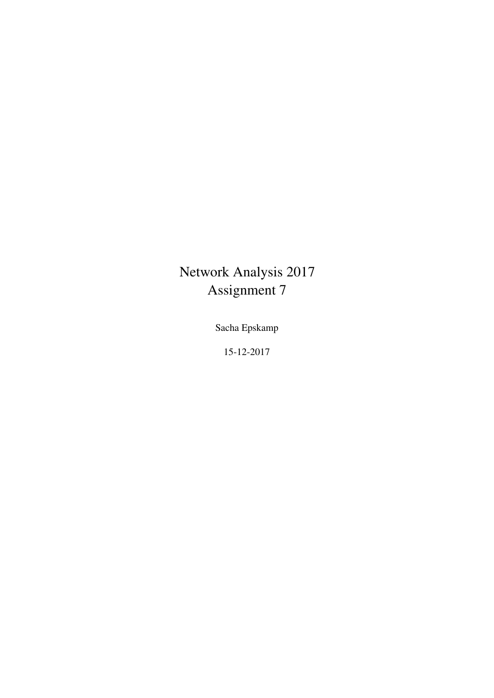# Network Analysis 2017 Assignment 7

Sacha Epskamp

15-12-2017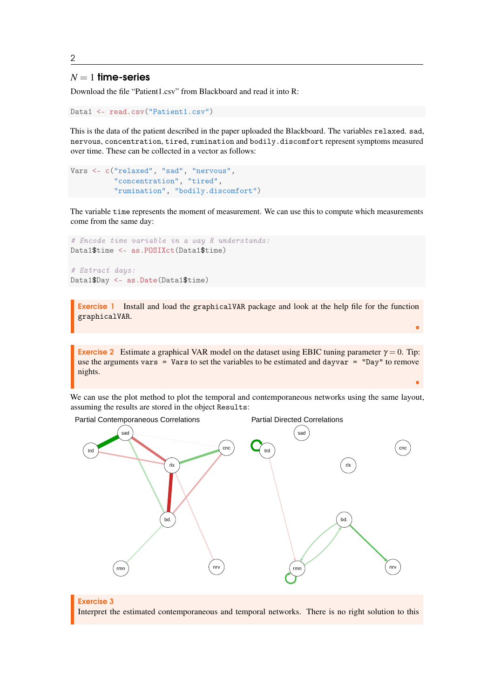2

# $N = 1$  time-series

Download the file "Patient1.csv" from Blackboard and read it into R:

```
Data1 <- read.csv("Patient1.csv")
```
This is the data of the patient described in the paper uploaded the Blackboard. The variables relaxed. sad, nervous, concentration, tired, rumination and bodily.discomfort represent symptoms measured over time. These can be collected in a vector as follows:

```
Vars <- c("relaxed", "sad", "nervous",
          "concentration", "tired",
          "rumination", "bodily.discomfort")
```
The variable time represents the moment of measurement. We can use this to compute which measurements come from the same day:

```
# Encode time variable in a way R understands:
Data1$time <- as.POSIXct(Data1$time)
```

```
# Extract days:
Data1$Day <- as.Date(Data1$time)
```
Exercise 1 Install and load the graphicalVAR package and look at the help file for the function graphicalVAR.

п

r

Exercise 2 Estimate a graphical VAR model on the dataset using EBIC tuning parameter  $\gamma = 0$ . Tip: use the arguments vars = Vars to set the variables to be estimated and dayvar = "Day" to remove nights.

We can use the plot method to plot the temporal and contemporaneous networks using the same layout, assuming the results are stored in the object Results:



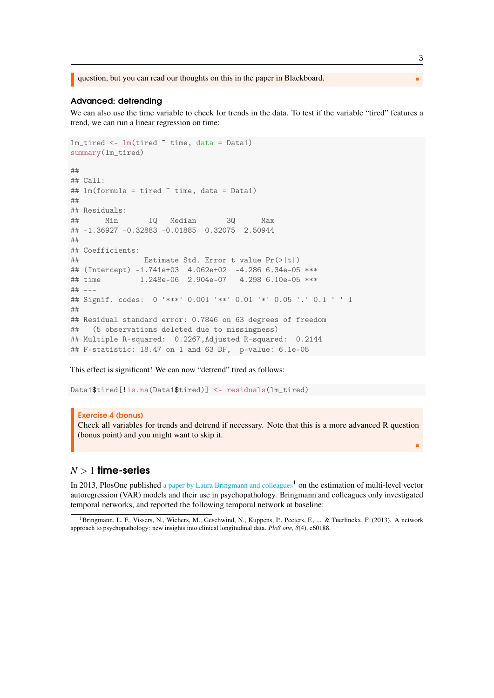question, but you can read our thoughts on this in the paper in Blackboard.

## Advanced: detrending

We can also use the time variable to check for trends in the data. To test if the variable "tired" features a trend, we can run a linear regression on time:

```
lm\_tired \leq lm(tired \tilde{\alpha} time, data = Data1)summary(lm_tired)
#### Call:
## lm(formula = tired " time, data = Data1)##
## Residuals:
## Min 1Q Median 3Q Max
## -1.36927 -0.32883 -0.01885 0.32075 2.50944
##
## Coefficients:
## Estimate Std. Error t value Pr(>|t|)
## (Intercept) -1.741e+03 4.062e+02 -4.286 6.34e-05 ***
## time 1.248e-06 2.904e-07 4.298 6.10e-05 ***
## ---
## Signif. codes: 0 '***' 0.001 '**' 0.01 '*' 0.05 '.' 0.1 ' ' 1
##
## Residual standard error: 0.7846 on 63 degrees of freedom
## (5 observations deleted due to missingness)
## Multiple R-squared: 0.2267,Adjusted R-squared: 0.2144
## F-statistic: 18.47 on 1 and 63 DF, p-value: 6.1e-05
```
This effect is significant! We can now "detrend" tired as follows:

Data1\$tired[!is.na(Data1\$tired)] <- residuals(lm\_tired)

### Exercise 4 (bonus)

Check all variables for trends and detrend if necessary. Note that this is a more advanced R question (bonus point) and you might want to skip it.

# $N > 1$  time-series

In 2013, PlosOne published [a paper by Laura Bringmann and colleagues](http://journals.plos.org/plosone/article?id=10.1371/journal.pone.0060188)<sup>[1](#page-2-0)</sup> on the estimation of multi-level vector autoregression (VAR) models and their use in psychopathology. Bringmann and colleagues only investigated temporal networks, and reported the following temporal network at baseline:

3

г

<span id="page-2-0"></span><sup>&</sup>lt;sup>1</sup>Bringmann, L. F., Vissers, N., Wichers, M., Geschwind, N., Kuppens, P., Peeters, F., ... & Tuerlinckx, F. (2013). A network approach to psychopathology: new insights into clinical longitudinal data. *PloS one, 8*(4), e60188.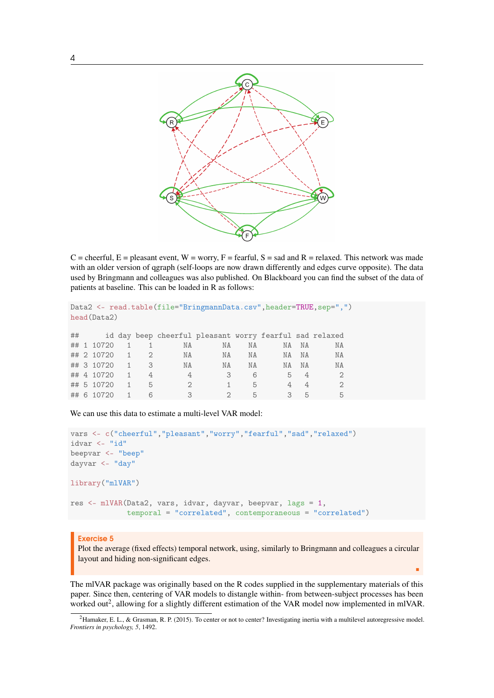

 $C =$  cheerful,  $E =$  pleasant event,  $W =$  worry,  $F =$  fearful,  $S =$  sad and  $R =$  relaxed. This network was made with an older version of qgraph (self-loops are now drawn differently and edges curve opposite). The data used by Bringmann and colleagues was also published. On Blackboard you can find the subset of the data of patients at baseline. This can be loaded in R as follows:

```
Data2 <- read.table(file="BringmannData.csv",header=TRUE,sep=",")
head(Data2)
```

| ## |            |    | id day beep cheerful pleasant worry fearful sad relaxed |    |    |                |                |    |
|----|------------|----|---------------------------------------------------------|----|----|----------------|----------------|----|
|    | ## 1 10720 |    | NA                                                      | NA | ΝA | NA             | <b>NA</b>      | ΝA |
|    | ## 2 10720 |    | ΝA                                                      | ΝA | NA | NA             | <b>NA</b>      | NA |
|    | ## 3 10720 | -3 | NA                                                      | ΝA | NA | ΝA             | <b>NA</b>      | ΝA |
|    | ## 4 10720 |    | 4                                                       | 3  | 6  | 5              |                |    |
|    | ## 5 10720 | 5  | $\mathcal{D}$                                           |    | 5  | $\overline{4}$ | 4              | 2  |
|    | ## 6 10720 | 6  | 3                                                       |    | 5  | 3              | $\overline{b}$ | 5  |

We can use this data to estimate a multi-level VAR model:

```
vars <- c("cheerful","pleasant","worry","fearful","sad","relaxed")
idvar <- "id"
beepvar <- "beep"
dayvar <- "day"
library("mlVAR")
res <- mlVAR(Data2, vars, idvar, dayvar, beepvar, lags = 1,
             temporal = "correlated", contemporaneous = "correlated")
```
## Exercise 5

Plot the average (fixed effects) temporal network, using, similarly to Bringmann and colleagues a circular layout and hiding non-significant edges.

п

The mlVAR package was originally based on the R codes supplied in the supplementary materials of this paper. Since then, centering of VAR models to distangle within- from between-subject processes has been worked out<sup>[2](#page-3-0)</sup>, allowing for a slightly different estimation of the VAR model now implemented in mlVAR.

<span id="page-3-0"></span><sup>&</sup>lt;sup>2</sup>Hamaker, E. L., & Grasman, R. P. (2015). To center or not to center? Investigating inertia with a multilevel autoregressive model. *Frontiers in psychology, 5*, 1492.